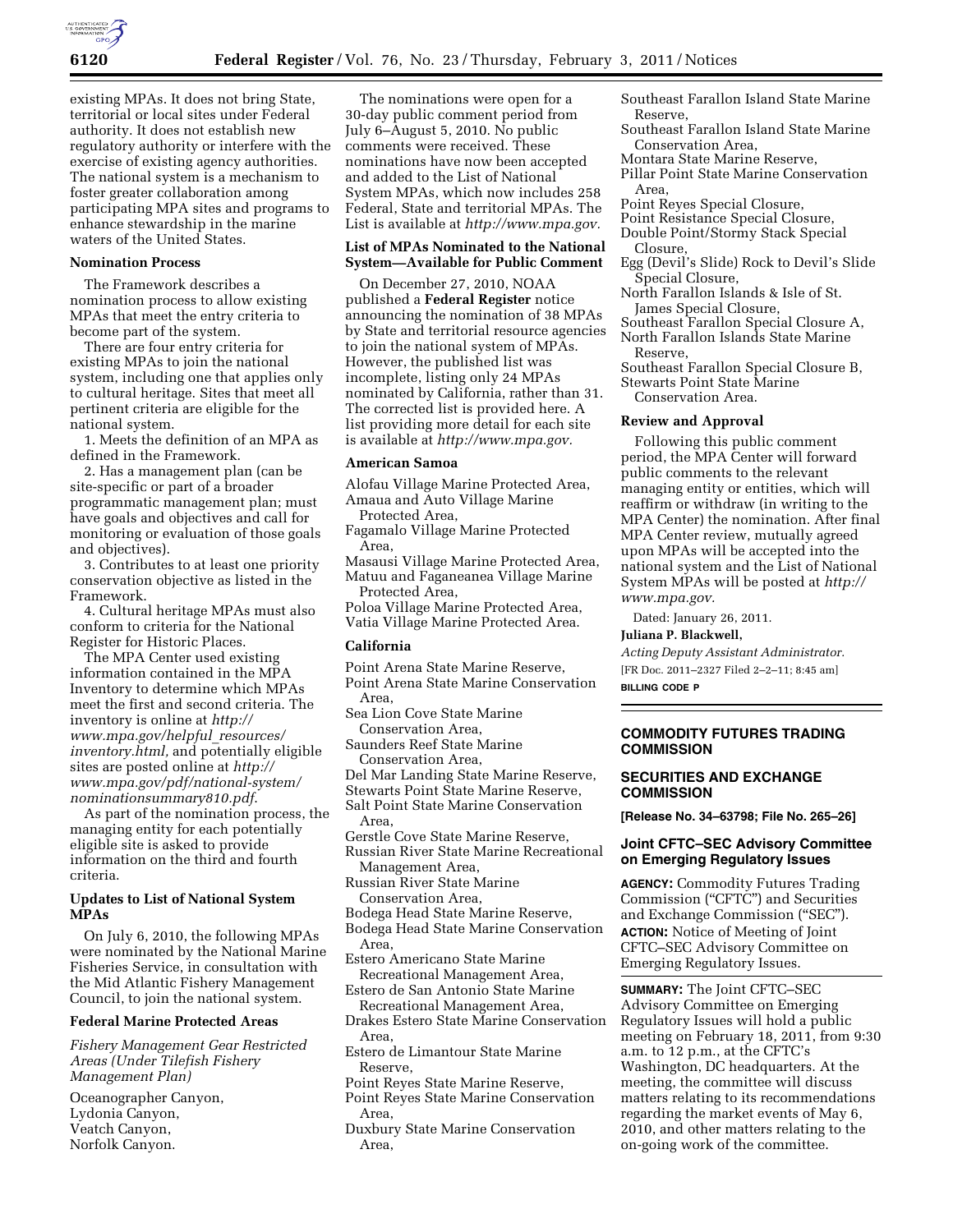existing MPAs. It does not bring State, territorial or local sites under Federal authority. It does not establish new regulatory authority or interfere with the exercise of existing agency authorities. The national system is a mechanism to foster greater collaboration among participating MPA sites and programs to enhance stewardship in the marine waters of the United States.

## **Nomination Process**

The Framework describes a nomination process to allow existing MPAs that meet the entry criteria to become part of the system.

There are four entry criteria for existing MPAs to join the national system, including one that applies only to cultural heritage. Sites that meet all pertinent criteria are eligible for the national system.

1. Meets the definition of an MPA as defined in the Framework.

2. Has a management plan (can be site-specific or part of a broader programmatic management plan; must have goals and objectives and call for monitoring or evaluation of those goals and objectives).

3. Contributes to at least one priority conservation objective as listed in the Framework.

4. Cultural heritage MPAs must also conform to criteria for the National Register for Historic Places.

The MPA Center used existing information contained in the MPA Inventory to determine which MPAs meet the first and second criteria. The inventory is online at *[http://](http://www.mpa.gov/helpful_resources/inventory.html) [www.mpa.gov/helpful](http://www.mpa.gov/helpful_resources/inventory.html)*\_*resources/ [inventory.html,](http://www.mpa.gov/helpful_resources/inventory.html)* and potentially eligible sites are posted online at *[http://](http://www.mpa.gov/pdf/national-system/nominationsummary810.pdf) [www.mpa.gov/pdf/national-system/](http://www.mpa.gov/pdf/national-system/nominationsummary810.pdf)  [nominationsummary810.pdf](http://www.mpa.gov/pdf/national-system/nominationsummary810.pdf)*.

As part of the nomination process, the managing entity for each potentially eligible site is asked to provide information on the third and fourth criteria.

# **Updates to List of National System MPAs**

On July 6, 2010, the following MPAs were nominated by the National Marine Fisheries Service, in consultation with the Mid Atlantic Fishery Management Council, to join the national system.

# **Federal Marine Protected Areas**

*Fishery Management Gear Restricted Areas (Under Tilefish Fishery Management Plan)* 

Oceanographer Canyon, Lydonia Canyon, Veatch Canyon, Norfolk Canyon.

The nominations were open for a 30-day public comment period from July 6–August 5, 2010. No public comments were received. These nominations have now been accepted and added to the List of National System MPAs, which now includes 258 Federal, State and territorial MPAs. The List is available at *[http://www.mpa.gov.](http://www.mpa.gov)* 

# **List of MPAs Nominated to the National System—Available for Public Comment**

On December 27, 2010, NOAA published a **Federal Register** notice announcing the nomination of 38 MPAs by State and territorial resource agencies to join the national system of MPAs. However, the published list was incomplete, listing only 24 MPAs nominated by California, rather than 31. The corrected list is provided here. A list providing more detail for each site is available at *[http://www.mpa.gov.](http://www.mpa.gov)* 

### **American Samoa**

Alofau Village Marine Protected Area, Amaua and Auto Village Marine

Protected Area, Fagamalo Village Marine Protected Area,

Masausi Village Marine Protected Area, Matuu and Faganeanea Village Marine Protected Area,

Poloa Village Marine Protected Area, Vatia Village Marine Protected Area.

### **California**

Point Arena State Marine Reserve, Point Arena State Marine Conservation

Area, Sea Lion Cove State Marine

Conservation Area, Saunders Reef State Marine Conservation Area,

Del Mar Landing State Marine Reserve,

Stewarts Point State Marine Reserve,

Salt Point State Marine Conservation

- Area,
- Gerstle Cove State Marine Reserve,

Russian River State Marine Recreational Management Area,

Russian River State Marine Conservation Area,

Bodega Head State Marine Reserve,

Bodega Head State Marine Conservation Area,

Estero Americano State Marine Recreational Management Area,

Estero de San Antonio State Marine Recreational Management Area,

Drakes Estero State Marine Conservation Area,

Estero de Limantour State Marine Reserve,

Point Reyes State Marine Reserve,

- Point Reyes State Marine Conservation Area,
- Duxbury State Marine Conservation Area,
- Southeast Farallon Island State Marine Reserve,
- Southeast Farallon Island State Marine Conservation Area,
- Montara State Marine Reserve,
- Pillar Point State Marine Conservation Area,
- Point Reyes Special Closure,
- Point Resistance Special Closure,
- Double Point/Stormy Stack Special Closure,
- Egg (Devil's Slide) Rock to Devil's Slide Special Closure,

North Farallon Islands & Isle of St. James Special Closure,

Southeast Farallon Special Closure A, North Farallon Islands State Marine

Reserve, Southeast Farallon Special Closure B,

Stewarts Point State Marine

Conservation Area.

## **Review and Approval**

Following this public comment period, the MPA Center will forward public comments to the relevant managing entity or entities, which will reaffirm or withdraw (in writing to the MPA Center) the nomination. After final MPA Center review, mutually agreed upon MPAs will be accepted into the national system and the List of National System MPAs will be posted at *[http://](http://www.mpa.gov) [www.mpa.gov.](http://www.mpa.gov)* 

Dated: January 26, 2011.

**Juliana P. Blackwell,** 

*Acting Deputy Assistant Administrator.*  [FR Doc. 2011–2327 Filed 2–2–11; 8:45 am] **BILLING CODE P** 

# **COMMODITY FUTURES TRADING COMMISSION**

# **SECURITIES AND EXCHANGE COMMISSION**

**[Release No. 34–63798; File No. 265–26]** 

# **Joint CFTC–SEC Advisory Committee on Emerging Regulatory Issues**

**AGENCY:** Commodity Futures Trading Commission (''CFTC'') and Securities and Exchange Commission (''SEC''). **ACTION:** Notice of Meeting of Joint CFTC–SEC Advisory Committee on Emerging Regulatory Issues.

**SUMMARY:** The Joint CFTC–SEC Advisory Committee on Emerging Regulatory Issues will hold a public meeting on February 18, 2011, from 9:30 a.m. to 12 p.m., at the CFTC's Washington, DC headquarters. At the meeting, the committee will discuss matters relating to its recommendations regarding the market events of May 6, 2010, and other matters relating to the on-going work of the committee.